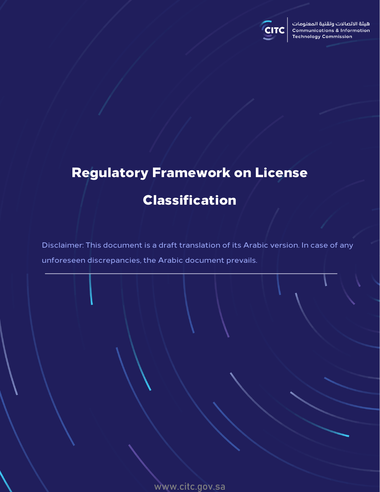

# Regulatory Framework on License Classification

Disclaimer: This document is a draft translation of its Arabic version. In case of any unforeseen discrepancies, the Arabic document prevails.

www.citc.gov.sa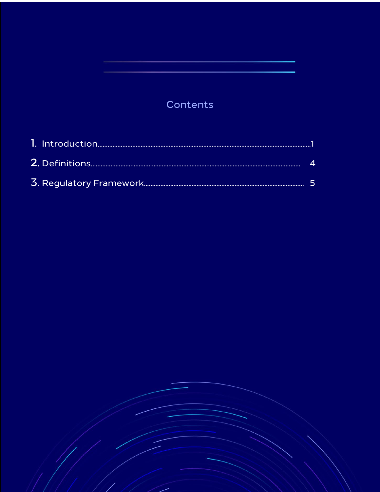# Contents

<span id="page-1-1"></span><span id="page-1-0"></span>

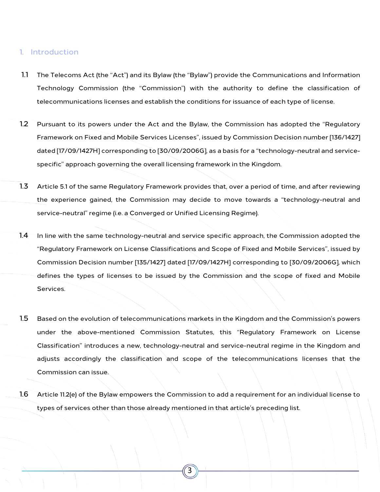## 1. Introduction

- 1.1 The Telecoms Act (the "Act") and its Bylaw (the "Bylaw") provide the Communications and Information Technology Commission (the "Commission") with the authority to define the classification of telecommunications licenses and establish the conditions for issuance of each type of license.
- 1.2 Pursuant to its powers under the Act and the Bylaw, the Commission has adopted the "Regulatory Framework on Fixed and Mobile Services Licenses", issued by Commission Decision number [136/1427] dated [17/09/1427H] corresponding to [30/09/2006G], as a basis for a "technology-neutral and servicespecific" approach governing the overall licensing framework in the Kingdom.
- 1.3 Article 5.1 of the same Regulatory Framework provides that, over a period of time, and after reviewing the experience gained, the Commission may decide to move towards a "technology-neutral and service-neutral" regime (i.e. a Converged or Unified Licensing Regime).
- 1.4 In line with the same technology-neutral and service specific approach, the Commission adopted the "Regulatory Framework on License Classifications and Scope of Fixed and Mobile Services", issued by Commission Decision number [135/1427] dated [17/09/1427H] corresponding to [30/09/2006G], which defines the types of licenses to be issued by the Commission and the scope of fixed and Mobile Services.
- 1.5 Based on the evolution of telecommunications markets in the Kingdom and the Commission's powers under the above-mentioned Commission Statutes, this "Regulatory Framework on License Classification" introduces a new, technology-neutral and service-neutral regime in the Kingdom and adjusts accordingly the classification and scope of the telecommunications licenses that the Commission can issue.
- 1.6 Article 11.2(e) of the Bylaw empowers the Commission to add a requirement for an individual license to types of services other than those already mentioned in that article's preceding list.

3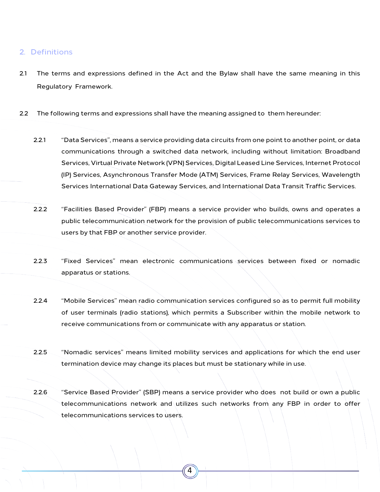# 2. Definitions

- 2.1 The terms and expressions defined in the Act and the Bylaw shall have the same meaning in this Regulatory Framework.
- 2.2 The following terms and expressions shall have the meaning assigned to them hereunder:
	- 2.2.1 "Data Services", means a service providing data circuits from one point to another point, or data communications through a switched data network, including without limitation: Broadband Services, Virtual Private Network (VPN) Services, Digital Leased Line Services, Internet Protocol (IP) Services, Asynchronous Transfer Mode (ATM) Services, Frame Relay Services, Wavelength Services International Data Gateway Services, and International Data Transit Traffic Services.
	- 2.2.2 "Facilities Based Provider" (FBP) means a service provider who builds, owns and operates a public telecommunication network for the provision of public telecommunications services to users by that FBP or another service provider.
	- 2.2.3 "Fixed Services" mean electronic communications services between fixed or nomadic apparatus or stations.
	- 2.2.4 "Mobile Services" mean radio communication services configured so as to permit full mobility of user terminals (radio stations), which permits a Subscriber within the mobile network to receive communications from or communicate with any apparatus or station.
	- 2.2.5 "Nomadic services" means limited mobility services and applications for which the end user termination device may change its places but must be stationary while in use.
	- 2.2.6 "Service Based Provider" (SBP) means a service provider who does not build or own a public telecommunications network and utilizes such networks from any FBP in order to offer telecommunications services to users.

4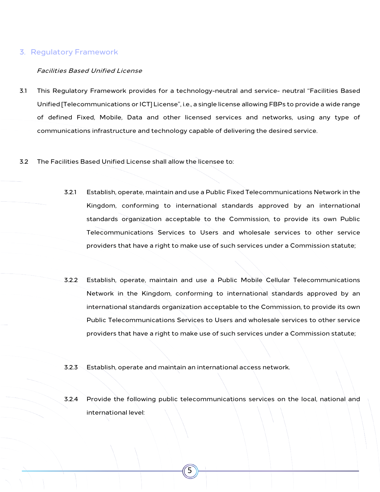### 3. Regulatory Framework

#### Facilities Based Unified License

- 3.1 This Regulatory Framework provides for a technology-neutral and service- neutral "Facilities Based Unified [Telecommunications or ICT] License", i.e., a single license allowing FBPs to provide a wide range of defined Fixed, Mobile, Data and other licensed services and networks, using any type of communications infrastructure and technology capable of delivering the desired service.
- 3.2 The Facilities Based Unified License shall allow the licensee to:
	- 3.2.1 Establish, operate, maintain and use a Public Fixed Telecommunications Network in the Kingdom, conforming to international standards approved by an international standards organization acceptable to the Commission, to provide its own Public Telecommunications Services to Users and wholesale services to other service providers that have a right to make use of such services under a Commission statute;
	- 3.2.2 Establish, operate, maintain and use a Public Mobile Cellular Telecommunications Network in the Kingdom, conforming to international standards approved by an international standards organization acceptable to the Commission, to provide its own Public Telecommunications Services to Users and wholesale services to other service providers that have a right to make use of such services under a Commission statute;
	- 3.2.3 Establish, operate and maintain an international access network.

5

3.2.4 Provide the following public telecommunications services on the local, national and international level: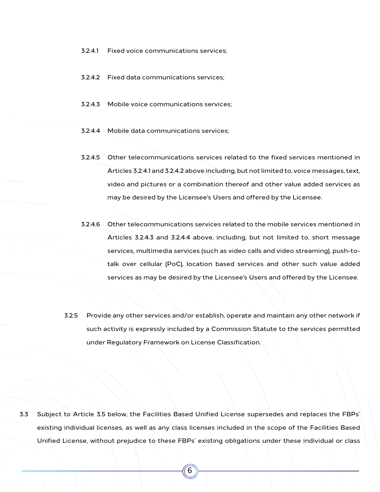- 3.2.4.1 Fixed voice communications services;
- <span id="page-5-0"></span>3.2.4.2 Fixed data communications services;
- <span id="page-5-1"></span>3.2.4.3 Mobile voice communications services;
- <span id="page-5-2"></span>3.2.4.4 Mobile data communications services;
- <span id="page-5-3"></span>3.2.4.5 Other telecommunications services related to the fixed services mentioned in Articles 3.2.4.1 and [3.2.4.2](#page-5-0) above including, but not limited to, voice messages, text, video and pictures or a combination thereof and other value added services as may be desired by the Licensee's Users and offered by the Licensee.
- <span id="page-5-4"></span>3.2.4.6 Other telecommunications services related to the mobile services mentioned in Articles [3.2.4.3 a](#page-5-1)nd [3.2.4.4 a](#page-5-2)bove, including, but not limited to, short message services, multimedia services (such as video calls and video streaming), push-totalk over cellular (PoC), location based services and other such value added services as may be desired by the Licensee's Users and offered by the Licensee.
- 3.2.5 Provide any other services and/or establish, operate and maintain any other network if such activity is expressly included by a Commission Statute to the services permitted under Regulatory Framework on License Classification.

3.3 Subject to Article 3.5 below, the Facilities Based Unified License supersedes and replaces the FBPs' existing individual licenses, as well as any class licenses included in the scope of the Facilities Based Unified License, without prejudice to these FBPs' existing obligations under these individual or class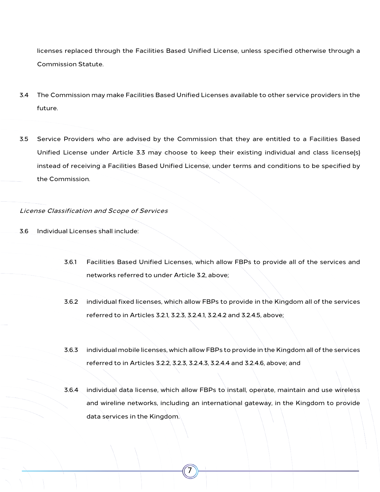licenses replaced through the Facilities Based Unified License, unless specified otherwise through a Commission Statute.

- 3.4 The Commission may make Facilities Based Unified Licenses available to other service providers in the future.
- 3.5 Service Providers who are advised by the Commission that they are entitled to a Facilities Based Unified License under Article 3.3 may choose to keep their existing individual and class license(s) instead of receiving a Facilities Based Unified License, under terms and conditions to be specified by the Commission.

License Classification and Scope of Services

- 3.6 Individual Licenses shall include:
	- 3.6.1 Facilities Based Unified Licenses, which allow FBPs to provide all of the services and networks referred to under Article 3.2, above;
	- 3.6.2 individual fixed licenses, which allow FBPs to provide in the Kingdom all of the services referred to in Articles 3.2.1, 3.2.3, 3.2.4.1[, 3.2.4.2](#page-5-0) and [3.2.4.5,](#page-5-3) above;
	- 3.6.3 individual mobile licenses, which allow FBPs to provide in the Kingdom all of the services referred to in Articles 3.2.2, 3.2.3, [3.2.4.3,](#page-5-1) [3.2.4.4](#page-5-2) and [3.2.4.6,](#page-5-4) above; and
	- 3.6.4 individual data license, which allow FBPs to install, operate, maintain and use wireless and wireline networks, including an international gateway, in the Kingdom to provide data services in the Kingdom.

7